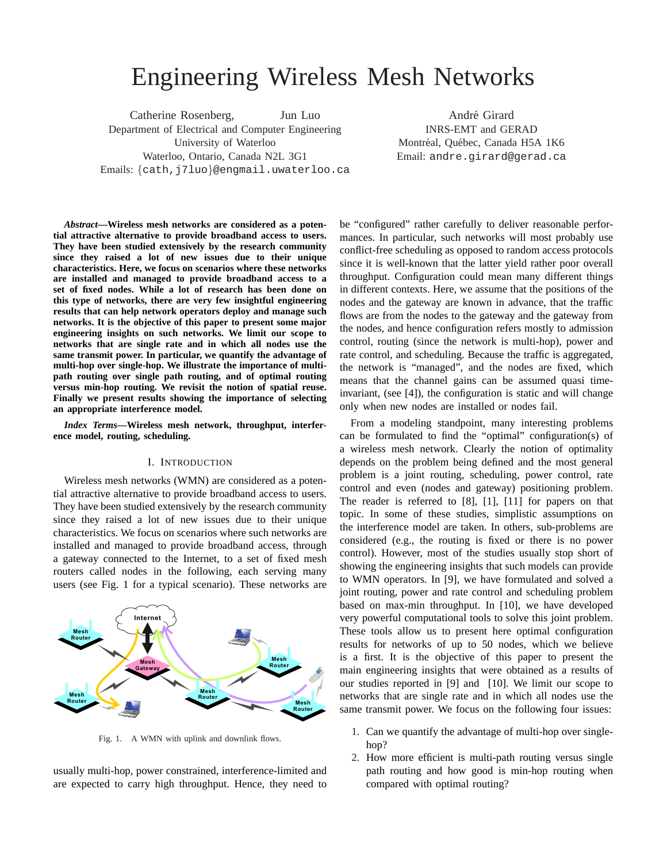# Engineering Wireless Mesh Networks

Catherine Rosenberg, Jun Luo Department of Electrical and Computer Engineering University of Waterloo Waterloo, Ontario, Canada N2L 3G1 Emails: {cath,j7luo}@engmail.uwaterloo.ca

André Girard INRS-EMT and GERAD Montréal, Québec, Canada H5A 1K6 Email: andre.girard@gerad.ca

*Abstract***—Wireless mesh networks are considered as a potential attractive alternative to provide broadband access to users. They have been studied extensively by the research community since they raised a lot of new issues due to their unique characteristics. Here, we focus on scenarios where these networks are installed and managed to provide broadband access to a set of fixed nodes. While a lot of research has been done on this type of networks, there are very few insightful engineering results that can help network operators deploy and manage such networks. It is the objective of this paper to present some major engineering insights on such networks. We limit our scope to networks that are single rate and in which all nodes use the same transmit power. In particular, we quantify the advantage of multi-hop over single-hop. We illustrate the importance of multipath routing over single path routing, and of optimal routing versus min-hop routing. We revisit the notion of spatial reuse. Finally we present results showing the importance of selecting an appropriate interference model.**

*Index Terms***—Wireless mesh network, throughput, interference model, routing, scheduling.**

### I. INTRODUCTION

Wireless mesh networks (WMN) are considered as a potential attractive alternative to provide broadband access to users. They have been studied extensively by the research community since they raised a lot of new issues due to their unique characteristics. We focus on scenarios where such networks are installed and managed to provide broadband access, through a gateway connected to the Internet, to a set of fixed mesh routers called nodes in the following, each serving many users (see Fig. 1 for a typical scenario). These networks are



Fig. 1. A WMN with uplink and downlink flows.

usually multi-hop, power constrained, interference-limited and are expected to carry high throughput. Hence, they need to be "configured" rather carefully to deliver reasonable performances. In particular, such networks will most probably use conflict-free scheduling as opposed to random access protocols since it is well-known that the latter yield rather poor overall throughput. Configuration could mean many different things in different contexts. Here, we assume that the positions of the nodes and the gateway are known in advance, that the traffic flows are from the nodes to the gateway and the gateway from the nodes, and hence configuration refers mostly to admission control, routing (since the network is multi-hop), power and rate control, and scheduling. Because the traffic is aggregated, the network is "managed", and the nodes are fixed, which means that the channel gains can be assumed quasi timeinvariant, (see [4]), the configuration is static and will change only when new nodes are installed or nodes fail.

From a modeling standpoint, many interesting problems can be formulated to find the "optimal" configuration(s) of a wireless mesh network. Clearly the notion of optimality depends on the problem being defined and the most general problem is a joint routing, scheduling, power control, rate control and even (nodes and gateway) positioning problem. The reader is referred to [8], [1], [11] for papers on that topic. In some of these studies, simplistic assumptions on the interference model are taken. In others, sub-problems are considered (e.g., the routing is fixed or there is no power control). However, most of the studies usually stop short of showing the engineering insights that such models can provide to WMN operators. In [9], we have formulated and solved a joint routing, power and rate control and scheduling problem based on max-min throughput. In [10], we have developed very powerful computational tools to solve this joint problem. These tools allow us to present here optimal configuration results for networks of up to 50 nodes, which we believe is a first. It is the objective of this paper to present the main engineering insights that were obtained as a results of our studies reported in [9] and [10]. We limit our scope to networks that are single rate and in which all nodes use the same transmit power. We focus on the following four issues:

- 1. Can we quantify the advantage of multi-hop over singlehop?
- 2. How more efficient is multi-path routing versus single path routing and how good is min-hop routing when compared with optimal routing?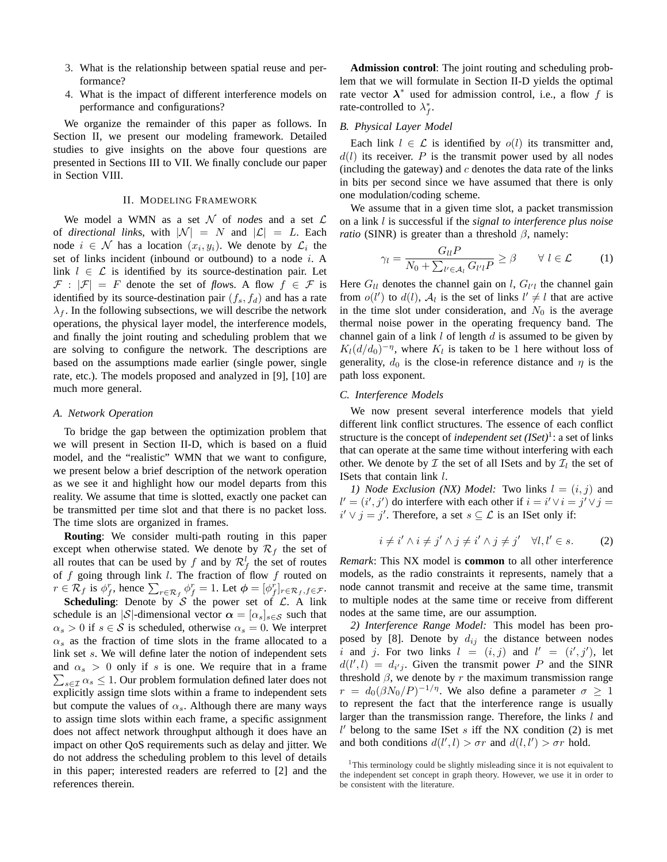- 3. What is the relationship between spatial reuse and performance?
- 4. What is the impact of different interference models on performance and configurations?

We organize the remainder of this paper as follows. In Section II, we present our modeling framework. Detailed studies to give insights on the above four questions are presented in Sections III to VII. We finally conclude our paper in Section VIII.

#### II. MODELING FRAMEWORK

We model a WMN as a set  $N$  of *nodes* and a set  $\mathcal{L}$ of *directional links*, with  $|\mathcal{N}| = N$  and  $|\mathcal{L}| = L$ . Each node  $i \in \mathcal{N}$  has a location  $(x_i, y_i)$ . We denote by  $\mathcal{L}_i$  the set of links incident (inbound or outbound) to a node i. A link  $l \in \mathcal{L}$  is identified by its source-destination pair. Let  $\mathcal{F}: |\mathcal{F}| = F$  denote the set of *flows*. A flow  $f \in \mathcal{F}$  is identified by its source-destination pair  $(f_s, f_d)$  and has a rate  $\lambda_f$ . In the following subsections, we will describe the network operations, the physical layer model, the interference models, and finally the joint routing and scheduling problem that we are solving to configure the network. The descriptions are based on the assumptions made earlier (single power, single rate, etc.). The models proposed and analyzed in [9], [10] are much more general.

# *A. Network Operation*

To bridge the gap between the optimization problem that we will present in Section II-D, which is based on a fluid model, and the "realistic" WMN that we want to configure, we present below a brief description of the network operation as we see it and highlight how our model departs from this reality. We assume that time is slotted, exactly one packet can be transmitted per time slot and that there is no packet loss. The time slots are organized in frames.

**Routing**: We consider multi-path routing in this paper except when otherwise stated. We denote by  $\mathcal{R}_f$  the set of all routes that can be used by f and by  $\mathcal{R}_f^l$  the set of routes of f going through link l. The fraction of flow f routed on or f going through link t. The fraction of how f follow on<br>  $r \in \mathcal{R}_f$  is  $\phi_f^r$ , hence  $\sum_{r \in \mathcal{R}_f} \phi_f^r = 1$ . Let  $\phi = [\phi_f^r]_{r \in \mathcal{R}_f, f \in \mathcal{F}}$ .

**Scheduling**: Denote by  $S$  the power set of  $C$ . A link schedule is an |S|-dimensional vector  $\alpha = [\alpha_s]_{s \in \mathcal{S}}$  such that  $\alpha_s > 0$  if  $s \in S$  is scheduled, otherwise  $\alpha_s = 0$ . We interpret  $\alpha_s$  as the fraction of time slots in the frame allocated to a link set s. We will define later the notion of independent sets and  $\alpha_s > 0$  only if s is one. We require that in a frame  $\sum_{s \in \mathcal{I}} \alpha_s \leq 1$ . Our problem formulation defined later does not explicitly assign time slots within a frame to independent sets but compute the values of  $\alpha_s$ . Although there are many ways to assign time slots within each frame, a specific assignment does not affect network throughput although it does have an impact on other QoS requirements such as delay and jitter. We do not address the scheduling problem to this level of details in this paper; interested readers are referred to [2] and the references therein.

**Admission control**: The joint routing and scheduling problem that we will formulate in Section II-D yields the optimal rate vector  $\lambda^*$  used for admission control, i.e., a flow f is rate-controlled to  $\lambda_f^*$ .

## *B. Physical Layer Model*

Each link  $l \in \mathcal{L}$  is identified by  $o(l)$  its transmitter and,  $d(l)$  its receiver. P is the transmit power used by all nodes (including the gateway) and  $c$  denotes the data rate of the links in bits per second since we have assumed that there is only one modulation/coding scheme.

We assume that in a given time slot, a packet transmission on a link l is successful if the *signal to interference plus noise ratio* (SINR) is greater than a threshold  $\beta$ , namely:

$$
\gamma_l = \frac{G_{ll}P}{N_0 + \sum_{l' \in \mathcal{A}_l} G_{l'l}P} \ge \beta \qquad \forall \ l \in \mathcal{L} \tag{1}
$$

Here  $G_{ll}$  denotes the channel gain on l,  $G_{ll}$  the channel gain from  $o(l')$  to  $d(l)$ ,  $\mathcal{A}_l$  is the set of links  $l' \neq l$  that are active in the time slot under consideration, and  $N_0$  is the average thermal noise power in the operating frequency band. The channel gain of a link  $l$  of length  $d$  is assumed to be given by  $K_l(d/d_0)^{-\eta}$ , where  $K_l$  is taken to be 1 here without loss of generality,  $d_0$  is the close-in reference distance and  $\eta$  is the path loss exponent.

#### *C. Interference Models*

We now present several interference models that yield different link conflict structures. The essence of each conflict structure is the concept of *independent set* (*ISet*)<sup>1</sup>: a set of links that can operate at the same time without interfering with each other. We denote by  $\mathcal I$  the set of all ISets and by  $\mathcal I_l$  the set of ISets that contain link l.

*1) Node Exclusion (NX) Model:* Two links  $l = (i, j)$  and  $l' = (i', j')$  do interfere with each other if  $i = i' \vee i = j' \vee j =$  $i' \vee j = j'$ . Therefore, a set  $s \subseteq \mathcal{L}$  is an ISet only if:

$$
i \neq i' \land i \neq j' \land j \neq i' \land j \neq j' \quad \forall l, l' \in s. \tag{2}
$$

*Remark*: This NX model is **common** to all other interference models, as the radio constraints it represents, namely that a node cannot transmit and receive at the same time, transmit to multiple nodes at the same time or receive from different nodes at the same time, are our assumption.

*2) Interference Range Model:* This model has been proposed by [8]. Denote by  $d_{ij}$  the distance between nodes i and j. For two links  $l = (i, j)$  and  $l' = (i', j')$ , let  $d(l', l) = d_{i'j}$ . Given the transmit power P and the SINR threshold  $\beta$ , we denote by r the maximum transmission range  $r = d_0(\beta N_0/P)^{-1/\eta}$ . We also define a parameter  $\sigma \ge 1$ to represent the fact that the interference range is usually larger than the transmission range. Therefore, the links l and  $l'$  belong to the same ISet s iff the NX condition (2) is met and both conditions  $d(l', l) > \sigma r$  and  $d(l, l') > \sigma r$  hold.

<sup>&</sup>lt;sup>1</sup>This terminology could be slightly misleading since it is not equivalent to the independent set concept in graph theory. However, we use it in order to be consistent with the literature.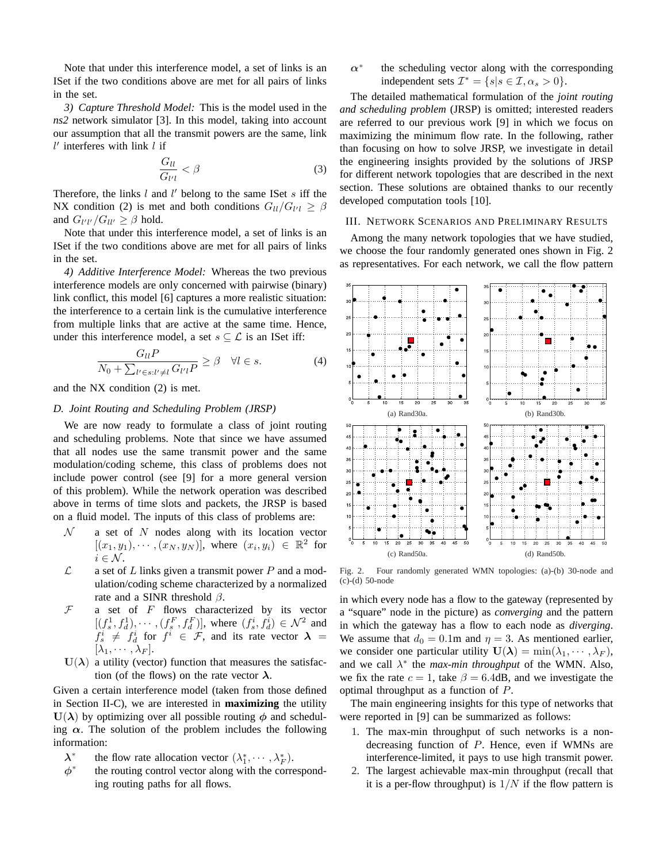Note that under this interference model, a set of links is an ISet if the two conditions above are met for all pairs of links in the set.

*3) Capture Threshold Model:* This is the model used in the *ns2* network simulator [3]. In this model, taking into account our assumption that all the transmit powers are the same, link  $l'$  interferes with link  $l$  if

$$
\frac{G_{ll}}{G_{l'l}} < \beta \tag{3}
$$

Therefore, the links  $l$  and  $l'$  belong to the same ISet  $s$  iff the NX condition (2) is met and both conditions  $G_{ll}/G_{l'l} \geq \beta$ and  $G_{l'l'}/G_{ll'} \geq \beta$  hold.

Note that under this interference model, a set of links is an ISet if the two conditions above are met for all pairs of links in the set.

*4) Additive Interference Model:* Whereas the two previous interference models are only concerned with pairwise (binary) link conflict, this model [6] captures a more realistic situation: the interference to a certain link is the cumulative interference from multiple links that are active at the same time. Hence, under this interference model, a set  $s \subseteq \mathcal{L}$  is an ISet iff:

$$
\frac{G_{ll}P}{N_0 + \sum_{l' \in s:l' \neq l} G_{l'l}P} \ge \beta \quad \forall l \in s.
$$
\n(4)

and the NX condition (2) is met.

# *D. Joint Routing and Scheduling Problem (JRSP)*

We are now ready to formulate a class of joint routing and scheduling problems. Note that since we have assumed that all nodes use the same transmit power and the same modulation/coding scheme, this class of problems does not include power control (see [9] for a more general version of this problem). While the network operation was described above in terms of time slots and packets, the JRSP is based on a fluid model. The inputs of this class of problems are:

- $N$  a set of N nodes along with its location vector  $[(x_1,y_1),\cdots,(x_N,y_N)],$  where  $(x_i,y_i) \in \mathbb{R}^2$  for  $i \in \mathcal{N}$ .
- $\mathcal{L}$  a set of L links given a transmit power P and a modulation/coding scheme characterized by a normalized rate and a SINR threshold  $\beta$ .
- $F$  a set of  $F$  flows characterized by its vector  $[(f_s^1, f_d^1), \cdots, (f_s^F, f_d^F)],$  where  $(f_s^i, f_d^i) \in \mathcal{N}^2$  and  $f_s^i \neq f_d^i$  for  $f^i \in \mathcal{F}$ , and its rate vector  $\boldsymbol{\lambda} =$  $[\lambda_1, \cdots, \lambda_F].$
- $U(\lambda)$  a utility (vector) function that measures the satisfaction (of the flows) on the rate vector  $\lambda$ .

Given a certain interference model (taken from those defined in Section II-C), we are interested in **maximizing** the utility  $U(\lambda)$  by optimizing over all possible routing  $\phi$  and scheduling  $\alpha$ . The solution of the problem includes the following information:

- λ ∗ the flow rate allocation vector  $(\lambda_1^*, \cdots, \lambda_F^*)$ .
- $\phi^*$ the routing control vector along with the corresponding routing paths for all flows.

 $\alpha^*$ the scheduling vector along with the corresponding independent sets  $\mathcal{I}^* = \{s | s \in \mathcal{I}, \alpha_s > 0\}.$ 

The detailed mathematical formulation of the *joint routing and scheduling problem* (JRSP) is omitted; interested readers are referred to our previous work [9] in which we focus on maximizing the minimum flow rate. In the following, rather than focusing on how to solve JRSP, we investigate in detail the engineering insights provided by the solutions of JRSP for different network topologies that are described in the next section. These solutions are obtained thanks to our recently developed computation tools [10].

# III. NETWORK SCENARIOS AND PRELIMINARY RESULTS

Among the many network topologies that we have studied, we choose the four randomly generated ones shown in Fig. 2 as representatives. For each network, we call the flow pattern



Fig. 2. Four randomly generated WMN topologies: (a)-(b) 30-node and (c)-(d) 50-node

in which every node has a flow to the gateway (represented by a "square" node in the picture) as *converging* and the pattern in which the gateway has a flow to each node as *diverging*. We assume that  $d_0 = 0.1$ m and  $\eta = 3$ . As mentioned earlier, we consider one particular utility  $U(\lambda) = \min(\lambda_1, \dots, \lambda_F)$ , and we call  $\lambda^*$  the *max-min throughput* of the WMN. Also, we fix the rate  $c = 1$ , take  $\beta = 6.4$ dB, and we investigate the optimal throughput as a function of P.

The main engineering insights for this type of networks that were reported in [9] can be summarized as follows:

- 1. The max-min throughput of such networks is a nondecreasing function of P. Hence, even if WMNs are interference-limited, it pays to use high transmit power.
- 2. The largest achievable max-min throughput (recall that it is a per-flow throughput) is  $1/N$  if the flow pattern is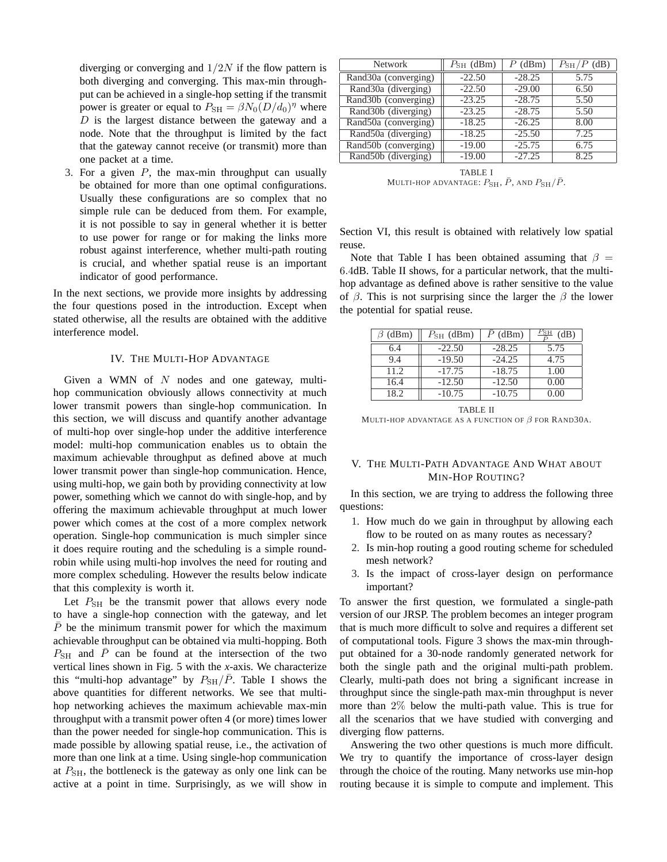diverging or converging and  $1/2N$  if the flow pattern is both diverging and converging. This max-min throughput can be achieved in a single-hop setting if the transmit power is greater or equal to  $P_{\text{SH}} = \beta N_0 (D/d_0)^{\eta}$  where  $D$  is the largest distance between the gateway and a node. Note that the throughput is limited by the fact that the gateway cannot receive (or transmit) more than one packet at a time.

3. For a given  $P$ , the max-min throughput can usually be obtained for more than one optimal configurations. Usually these configurations are so complex that no simple rule can be deduced from them. For example, it is not possible to say in general whether it is better to use power for range or for making the links more robust against interference, whether multi-path routing is crucial, and whether spatial reuse is an important indicator of good performance.

In the next sections, we provide more insights by addressing the four questions posed in the introduction. Except when stated otherwise, all the results are obtained with the additive interference model.

# IV. THE MULTI-HOP ADVANTAGE

Given a WMN of  $N$  nodes and one gateway, multihop communication obviously allows connectivity at much lower transmit powers than single-hop communication. In this section, we will discuss and quantify another advantage of multi-hop over single-hop under the additive interference model: multi-hop communication enables us to obtain the maximum achievable throughput as defined above at much lower transmit power than single-hop communication. Hence, using multi-hop, we gain both by providing connectivity at low power, something which we cannot do with single-hop, and by offering the maximum achievable throughput at much lower power which comes at the cost of a more complex network operation. Single-hop communication is much simpler since it does require routing and the scheduling is a simple roundrobin while using multi-hop involves the need for routing and more complex scheduling. However the results below indicate that this complexity is worth it.

Let  $P_{\text{SH}}$  be the transmit power that allows every node to have a single-hop connection with the gateway, and let  $\overline{P}$  be the minimum transmit power for which the maximum achievable throughput can be obtained via multi-hopping. Both  $P_{\text{SH}}$  and  $\bar{P}$  can be found at the intersection of the two vertical lines shown in Fig. 5 with the *x*-axis. We characterize this "multi-hop advantage" by  $P_{\text{SH}}/\bar{P}$ . Table I shows the above quantities for different networks. We see that multihop networking achieves the maximum achievable max-min throughput with a transmit power often 4 (or more) times lower than the power needed for single-hop communication. This is made possible by allowing spatial reuse, i.e., the activation of more than one link at a time. Using single-hop communication at  $P_{\rm SH}$ , the bottleneck is the gateway as only one link can be active at a point in time. Surprisingly, as we will show in

| <b>Network</b>       | $P_{\rm SH}$ (dBm) | $P$ (dBm) | $P_{\rm SH}/P$ (dB) |
|----------------------|--------------------|-----------|---------------------|
| Rand30a (converging) | $-22.50$           | $-28.25$  | 5.75                |
| Rand30a (diverging)  | $-22.50$           | $-29.00$  | 6.50                |
| Rand30b (converging) | $-23.25$           | $-28.75$  | 5.50                |
| Rand30b (diverging)  | $-23.25$           | $-28.75$  | 5.50                |
| Rand50a (converging) | $-18.25$           | $-26.25$  | 8.00                |
| Rand50a (diverging)  | $-18.25$           | $-25.50$  | 7.25                |
| Rand50b (converging) | $-19.00$           | $-25.75$  | 6.75                |
| Rand50b (diverging)  | $-19.00$           | $-27.25$  | 8.25                |

TABLE I MULTI-HOP ADVANTAGE:  $P_{\text{SH}}$ ,  $\bar{P}$ , and  $P_{\text{SH}}/\bar{P}$ .

Section VI, this result is obtained with relatively low spatial reuse.

Note that Table I has been obtained assuming that  $\beta =$ 6.4dB. Table II shows, for a particular network, that the multihop advantage as defined above is rather sensitive to the value of  $\beta$ . This is not surprising since the larger the  $\beta$  the lower the potential for spatial reuse.

| $\beta$ (dBm) | $P_{\rm SH}$ (dBm) | $P$ (dBm) | $_{\rm{FSH}}$<br>(dB) |
|---------------|--------------------|-----------|-----------------------|
| 6.4           | $-22.50$           | $-28.25$  | 5.75                  |
| 9.4           | $-19.50$           | $-24.25$  | 4.75                  |
| 11.2.         | $-17.75$           | $-18.75$  | 1.00                  |
| 16.4          | $-12.50$           | $-12.50$  | 0.00                  |
| 18.2          | $-10.75$           | $-10.75$  | 0.00                  |

TABLE II MULTI-HOP ADVANTAGE AS A FUNCTION OF  $\beta$  FOR RAND30A.

# V. THE MULTI-PATH ADVANTAGE AND WHAT ABOUT MIN-HOP ROUTING?

In this section, we are trying to address the following three questions:

- 1. How much do we gain in throughput by allowing each flow to be routed on as many routes as necessary?
- 2. Is min-hop routing a good routing scheme for scheduled mesh network?
- 3. Is the impact of cross-layer design on performance important?

To answer the first question, we formulated a single-path version of our JRSP. The problem becomes an integer program that is much more difficult to solve and requires a different set of computational tools. Figure 3 shows the max-min throughput obtained for a 30-node randomly generated network for both the single path and the original multi-path problem. Clearly, multi-path does not bring a significant increase in throughput since the single-path max-min throughput is never more than 2% below the multi-path value. This is true for all the scenarios that we have studied with converging and diverging flow patterns.

Answering the two other questions is much more difficult. We try to quantify the importance of cross-layer design through the choice of the routing. Many networks use min-hop routing because it is simple to compute and implement. This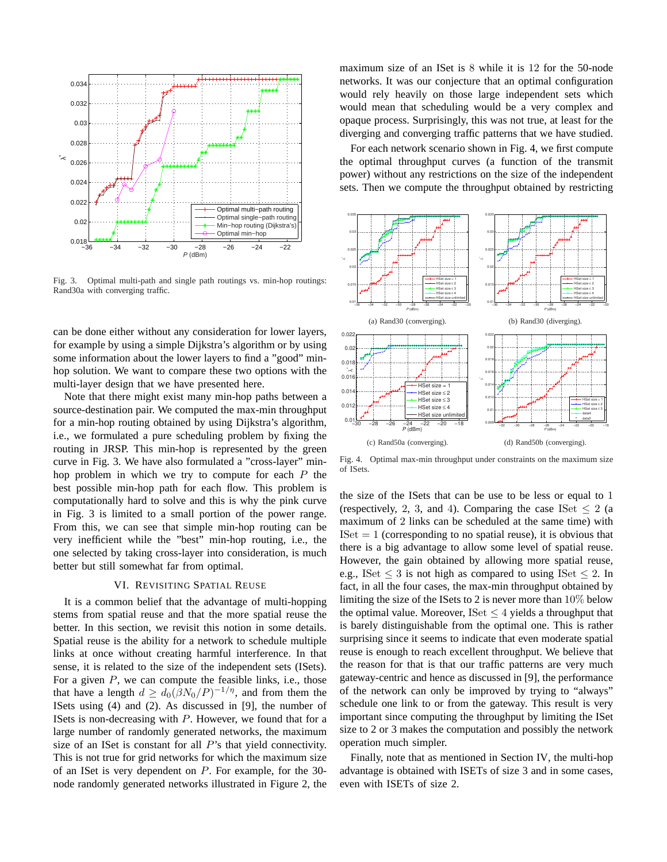

Fig. 3. Optimal multi-path and single path routings vs. min-hop routings: Rand30a with converging traffic.

can be done either without any consideration for lower layers, for example by using a simple Dijkstra's algorithm or by using some information about the lower layers to find a "good" minhop solution. We want to compare these two options with the multi-layer design that we have presented here.

Note that there might exist many min-hop paths between a source-destination pair. We computed the max-min throughput for a min-hop routing obtained by using Dijkstra's algorithm, i.e., we formulated a pure scheduling problem by fixing the routing in JRSP. This min-hop is represented by the green curve in Fig. 3. We have also formulated a "cross-layer" minhop problem in which we try to compute for each  $P$  the best possible min-hop path for each flow. This problem is computationally hard to solve and this is why the pink curve in Fig. 3 is limited to a small portion of the power range. From this, we can see that simple min-hop routing can be very inefficient while the "best" min-hop routing, i.e., the one selected by taking cross-layer into consideration, is much better but still somewhat far from optimal.

## VI. REVISITING SPATIAL REUSE

It is a common belief that the advantage of multi-hopping stems from spatial reuse and that the more spatial reuse the better. In this section, we revisit this notion in some details. Spatial reuse is the ability for a network to schedule multiple links at once without creating harmful interference. In that sense, it is related to the size of the independent sets (ISets). For a given  $P$ , we can compute the feasible links, i.e., those that have a length  $d \geq d_0(\beta N_0/P)^{-1/\eta}$ , and from them the ISets using (4) and (2). As discussed in [9], the number of ISets is non-decreasing with  $P$ . However, we found that for a large number of randomly generated networks, the maximum size of an ISet is constant for all  $P$ 's that yield connectivity. This is not true for grid networks for which the maximum size of an ISet is very dependent on P. For example, for the 30 node randomly generated networks illustrated in Figure 2, the maximum size of an ISet is 8 while it is 12 for the 50-node networks. It was our conjecture that an optimal configuration would rely heavily on those large independent sets which would mean that scheduling would be a very complex and opaque process. Surprisingly, this was not true, at least for the diverging and converging traffic patterns that we have studied.

For each network scenario shown in Fig. 4, we first compute the optimal throughput curves (a function of the transmit power) without any restrictions on the size of the independent sets. Then we compute the throughput obtained by restricting



Fig. 4. Optimal max-min throughput under constraints on the maximum size of ISets.

the size of the ISets that can be use to be less or equal to 1 (respectively, 2, 3, and 4). Comparing the case ISet  $\leq 2$  (a maximum of 2 links can be scheduled at the same time) with  $ISet = 1$  (corresponding to no spatial reuse), it is obvious that there is a big advantage to allow some level of spatial reuse. However, the gain obtained by allowing more spatial reuse, e.g., ISet  $\leq 3$  is not high as compared to using ISet  $\leq 2$ . In fact, in all the four cases, the max-min throughput obtained by limiting the size of the ISets to 2 is never more than 10% below the optimal value. Moreover, ISet  $\leq 4$  yields a throughput that is barely distinguishable from the optimal one. This is rather surprising since it seems to indicate that even moderate spatial reuse is enough to reach excellent throughput. We believe that the reason for that is that our traffic patterns are very much gateway-centric and hence as discussed in [9], the performance of the network can only be improved by trying to "always" schedule one link to or from the gateway. This result is very important since computing the throughput by limiting the ISet size to 2 or 3 makes the computation and possibly the network operation much simpler.

Finally, note that as mentioned in Section IV, the multi-hop advantage is obtained with ISETs of size 3 and in some cases, even with ISETs of size 2.